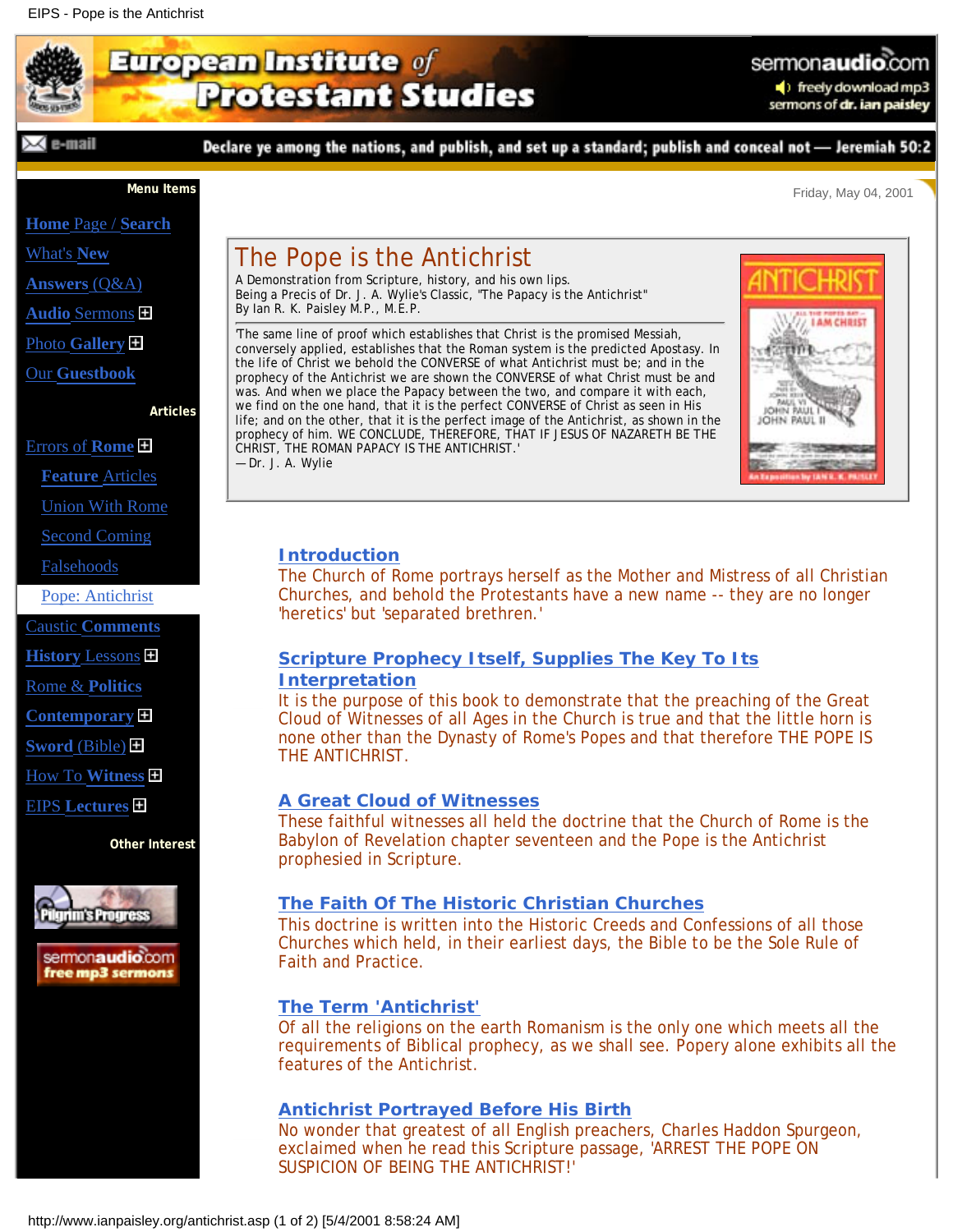# <span id="page-0-0"></span>European Institute of **Protestant Studies**

#### $\times$  cannall

Declare ye among the nations, and publish, and set up a standard; publish and conceal not - Jeremiah 50:2

**Menu Items**

**Home** [Page /](http://www.ianpaisley.org/main.asp) **Search**

[What's](http://www.ianpaisley.org/new.asp) **New**

**[Answers](http://www.ianpaisley.org/answers.asp)** (Q&A)

**Audio** [Sermons](http://www.ianpaisley.org/exhort.asp)

Photo **[Gallery](http://www.ianpaisley.org/gallery_50.asp)**

Our **[Guestbook](http://www.ianpaisley.org/guest.asp)**

**Articles**

[Errors of](http://www.ianpaisley.org/rome.asp) **Rome**

**[Feature](http://www.ianpaisley.org/rome.asp)** Articles

[Union With Rome](http://www.ianpaisley.org/union.asp)

[Second Coming](http://www.ianpaisley.org/secondcoming.asp)

[Falsehoods](http://www.ianpaisley.org/falsehoods.asp)

[Pope: Antichrist](#page-0-0)

Caustic **[Comments](http://www.ianpaisley.org/comments.asp)**

**History** [Lessons](http://www.ianpaisley.org/historical.asp)

[Rome &](http://www.ianpaisley.org/politics.asp) **Politics**

**[Contemporary](http://www.ianpaisley.org/contemp.asp)**

**Sword** [\(Bible\)](http://www.ianpaisley.org/sword.asp)

[How To](http://www.ianpaisley.org/witness.asp) **Witness**

EIPS **[Lectures](http://www.ianpaisley.org/lectures.asp)**

**Other Interest**



sermonaudio.com free mp3 sermons

# The Pope is the Antichrist

A Demonstration from Scripture, history, and his own lips. Being a Precis of Dr. J. A. Wylie's Classic, "The Papacy is the Antichrist" By Ian R. K. Paisley M.P., M.E.P.

'The same line of proof which establishes that Christ is the promised Messiah, conversely applied, establishes that the Roman system is the predicted Apostasy. In the life of Christ we behold the CONVERSE of what Antichrist must be; and in the prophecy of the Antichrist we are shown the CONVERSE of what Christ must be and was. And when we place the Papacy between the two, and compare it with each, we find on the one hand, that it is the perfect CONVERSE of Christ as seen in His life; and on the other, that it is the perfect image of the Antichrist, as shown in the prophecy of him. WE CONCLUDE, THEREFORE, THAT IF JESUS OF NAZARETH BE THE CHRIST, THE ROMAN PAPACY IS THE ANTICHRIST.' — Dr. J. A. Wylie



Friday, May 04, 2001

sermon**audio**.com

■ freely download mp3 sermons of dr. ian paisley

# **[Introduction](http://www.ianpaisley.org/article.asp?ArtKey=antichrist_intro)**

The Church of Rome portrays herself as the Mother and Mistress of all Christian Churches, and behold the Protestants have a new name -- they are no longer 'heretics' but 'separated brethren.'

## **[Scripture Prophecy Itself, Supplies The Key To Its](http://www.ianpaisley.org/article.asp?ArtKey=antichrist_1) [Interpretation](http://www.ianpaisley.org/article.asp?ArtKey=antichrist_1)**

It is the purpose of this book to demonstrate that the preaching of the Great Cloud of Witnesses of all Ages in the Church is true and that the little horn is none other than the Dynasty of Rome's Popes and that therefore THE POPE IS THE ANTICHRIST.

### **[A Great Cloud of Witnesses](http://www.ianpaisley.org/article.asp?ArtKey=antichrist_2)**

These faithful witnesses all held the doctrine that the Church of Rome is the Babylon of Revelation chapter seventeen and the Pope is the Antichrist prophesied in Scripture.

### **[The Faith Of The Historic Christian Churches](http://www.ianpaisley.org/article.asp?ArtKey=antichrist_3)**

This doctrine is written into the Historic Creeds and Confessions of all those Churches which held, in their earliest days, the Bible to be the Sole Rule of Faith and Practice.

### **[The Term 'Antichrist'](http://www.ianpaisley.org/article.asp?ArtKey=antichrist_4)**

Of all the religions on the earth Romanism is the only one which meets all the requirements of Biblical prophecy, as we shall see. Popery alone exhibits all the features of the Antichrist.

### **[Antichrist Portrayed Before His Birth](http://www.ianpaisley.org/article.asp?ArtKey=antichrist_5)**

No wonder that greatest of all English preachers, Charles Haddon Spurgeon, exclaimed when he read this Scripture passage, 'ARREST THE POPE ON SUSPICION OF BEING THE ANTICHRIST!'